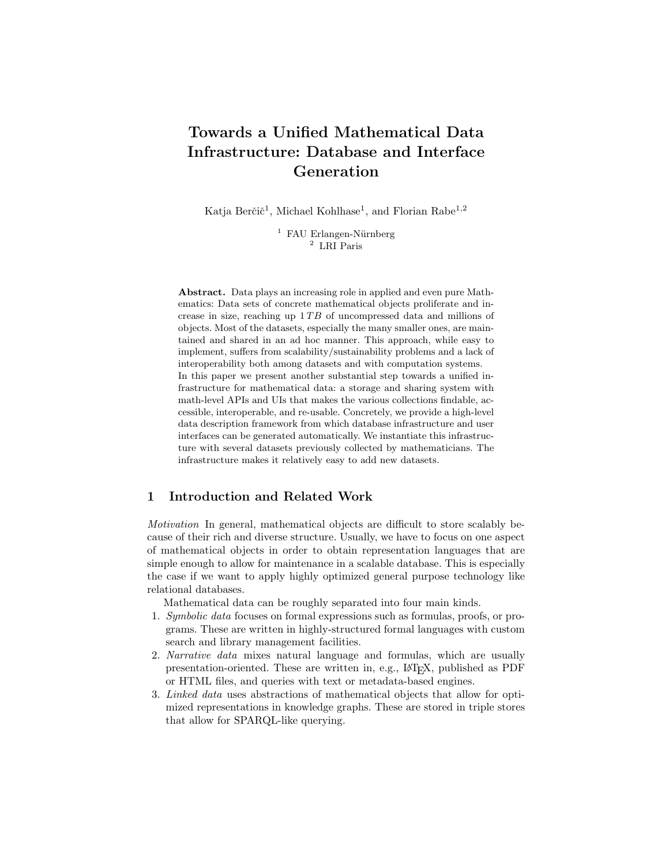# Towards a Unified Mathematical Data Infrastructure: Database and Interface Generation

Katja Berčič<sup>1</sup>, Michael Kohlhase<sup>1</sup>, and Florian Rabe<sup>1,2</sup>

 $<sup>1</sup>$  FAU Erlangen-Nürnberg</sup> <sup>2</sup> LRI Paris

Abstract. Data plays an increasing role in applied and even pure Mathematics: Data sets of concrete mathematical objects proliferate and increase in size, reaching up  $1 TB$  of uncompressed data and millions of objects. Most of the datasets, especially the many smaller ones, are maintained and shared in an ad hoc manner. This approach, while easy to implement, suffers from scalability/sustainability problems and a lack of interoperability both among datasets and with computation systems. In this paper we present another substantial step towards a unified infrastructure for mathematical data: a storage and sharing system with math-level APIs and UIs that makes the various collections findable, accessible, interoperable, and re-usable. Concretely, we provide a high-level data description framework from which database infrastructure and user interfaces can be generated automatically. We instantiate this infrastructure with several datasets previously collected by mathematicians. The infrastructure makes it relatively easy to add new datasets.

# 1 Introduction and Related Work

Motivation In general, mathematical objects are difficult to store scalably because of their rich and diverse structure. Usually, we have to focus on one aspect of mathematical objects in order to obtain representation languages that are simple enough to allow for maintenance in a scalable database. This is especially the case if we want to apply highly optimized general purpose technology like relational databases.

Mathematical data can be roughly separated into four main kinds.

- 1. Symbolic data focuses on formal expressions such as formulas, proofs, or programs. These are written in highly-structured formal languages with custom search and library management facilities.
- 2. Narrative data mixes natural language and formulas, which are usually presentation-oriented. These are written in, e.g., LATEX, published as PDF or HTML files, and queries with text or metadata-based engines.
- 3. Linked data uses abstractions of mathematical objects that allow for optimized representations in knowledge graphs. These are stored in triple stores that allow for SPARQL-like querying.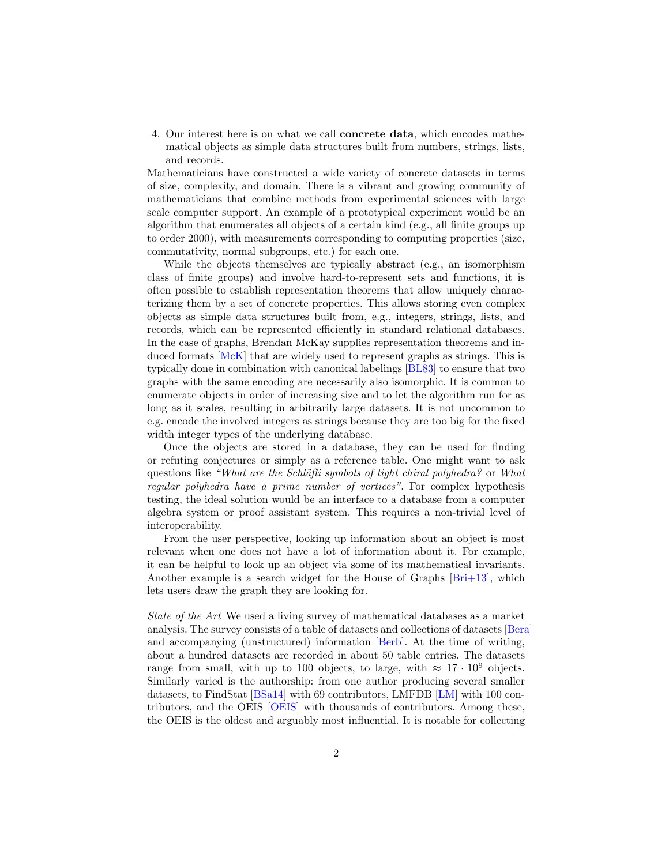4. Our interest here is on what we call concrete data, which encodes mathematical objects as simple data structures built from numbers, strings, lists, and records.

Mathematicians have constructed a wide variety of concrete datasets in terms of size, complexity, and domain. There is a vibrant and growing community of mathematicians that combine methods from experimental sciences with large scale computer support. An example of a prototypical experiment would be an algorithm that enumerates all objects of a certain kind (e.g., all finite groups up to order 2000), with measurements corresponding to computing properties (size, commutativity, normal subgroups, etc.) for each one.

While the objects themselves are typically abstract (e.g., an isomorphism class of finite groups) and involve hard-to-represent sets and functions, it is often possible to establish representation theorems that allow uniquely characterizing them by a set of concrete properties. This allows storing even complex objects as simple data structures built from, e.g., integers, strings, lists, and records, which can be represented efficiently in standard relational databases. In the case of graphs, Brendan McKay supplies representation theorems and induced formats [\[McK\]](#page-15-0) that are widely used to represent graphs as strings. This is typically done in combination with canonical labelings [\[BL83\]](#page-14-0) to ensure that two graphs with the same encoding are necessarily also isomorphic. It is common to enumerate objects in order of increasing size and to let the algorithm run for as long as it scales, resulting in arbitrarily large datasets. It is not uncommon to e.g. encode the involved integers as strings because they are too big for the fixed width integer types of the underlying database.

Once the objects are stored in a database, they can be used for finding or refuting conjectures or simply as a reference table. One might want to ask questions like "What are the Schläfli symbols of tight chiral polyhedra? or What regular polyhedra have a prime number of vertices". For complex hypothesis testing, the ideal solution would be an interface to a database from a computer algebra system or proof assistant system. This requires a non-trivial level of interoperability.

From the user perspective, looking up information about an object is most relevant when one does not have a lot of information about it. For example, it can be helpful to look up an object via some of its mathematical invariants. Another example is a search widget for the House of Graphs [\[Bri+13\]](#page-14-1), which lets users draw the graph they are looking for.

State of the Art We used a living survey of mathematical databases as a market analysis. The survey consists of a table of datasets and collections of datasets [\[Bera\]](#page-14-2) and accompanying (unstructured) information [\[Berb\]](#page-14-3). At the time of writing, about a hundred datasets are recorded in about 50 table entries. The datasets range from small, with up to 100 objects, to large, with  $\approx 17 \cdot 10^9$  objects. Similarly varied is the authorship: from one author producing several smaller datasets, to FindStat [\[BSa14\]](#page-14-4) with 69 contributors, LMFDB [\[LM\]](#page-15-1) with 100 contributors, and the OEIS [\[OEIS\]](#page-15-2) with thousands of contributors. Among these, the OEIS is the oldest and arguably most influential. It is notable for collecting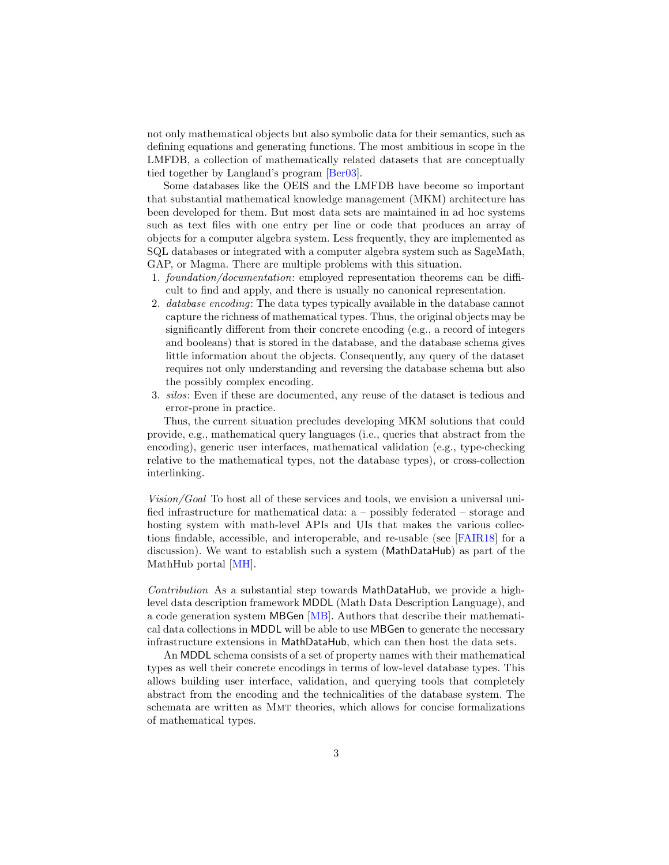not only mathematical objects but also symbolic data for their semantics, such as defining equations and generating functions. The most ambitious in scope in the LMFDB, a collection of mathematically related datasets that are conceptually tied together by Langland's program [\[Ber03\]](#page-14-5).

Some databases like the OEIS and the LMFDB have become so important that substantial mathematical knowledge management (MKM) architecture has been developed for them. But most data sets are maintained in ad hoc systems such as text files with one entry per line or code that produces an array of objects for a computer algebra system. Less frequently, they are implemented as SQL databases or integrated with a computer algebra system such as SageMath, GAP, or Magma. There are multiple problems with this situation.

- 1. foundation/documentation: employed representation theorems can be difficult to find and apply, and there is usually no canonical representation.
- 2. database encoding: The data types typically available in the database cannot capture the richness of mathematical types. Thus, the original objects may be significantly different from their concrete encoding (e.g., a record of integers and booleans) that is stored in the database, and the database schema gives little information about the objects. Consequently, any query of the dataset requires not only understanding and reversing the database schema but also the possibly complex encoding.
- 3. silos: Even if these are documented, any reuse of the dataset is tedious and error-prone in practice.

Thus, the current situation precludes developing MKM solutions that could provide, e.g., mathematical query languages (i.e., queries that abstract from the encoding), generic user interfaces, mathematical validation (e.g., type-checking relative to the mathematical types, not the database types), or cross-collection interlinking.

Vision/Goal To host all of these services and tools, we envision a universal unified infrastructure for mathematical data: a – possibly federated – storage and hosting system with math-level APIs and UIs that makes the various collections findable, accessible, and interoperable, and re-usable (see [\[FAIR18\]](#page-14-6) for a discussion). We want to establish such a system (MathDataHub) as part of the MathHub portal [\[MH\]](#page-15-3).

Contribution As a substantial step towards MathDataHub, we provide a highlevel data description framework MDDL (Math Data Description Language), and a code generation system MBGen [\[MB\]](#page-15-4). Authors that describe their mathematical data collections in MDDL will be able to use MBGen to generate the necessary infrastructure extensions in MathDataHub, which can then host the data sets.

An MDDL schema consists of a set of property names with their mathematical types as well their concrete encodings in terms of low-level database types. This allows building user interface, validation, and querying tools that completely abstract from the encoding and the technicalities of the database system. The schemata are written as MMT theories, which allows for concise formalizations of mathematical types.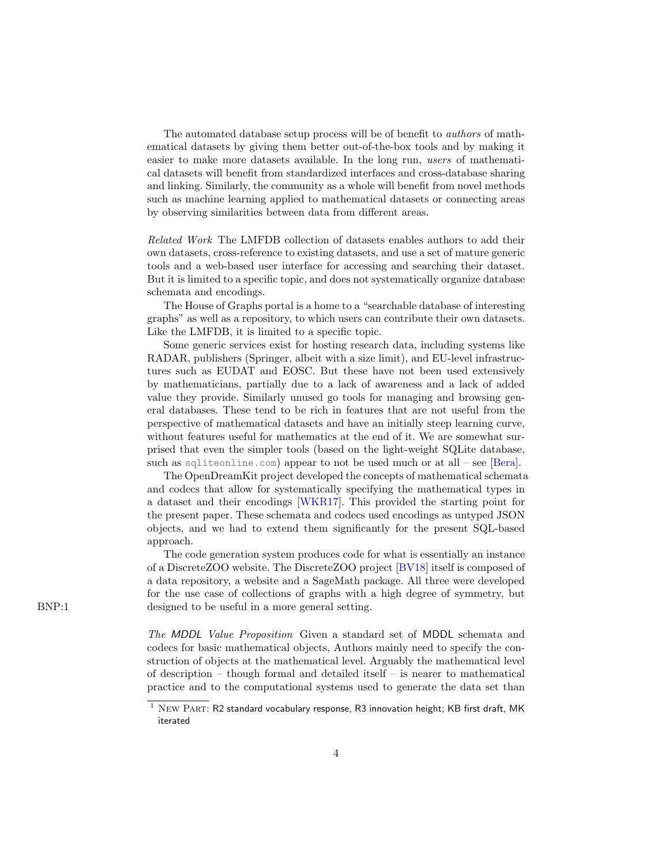The automated database setup process will be of benefit to authors of mathematical datasets by giving them better out-of-the-box tools and by making it easier to make more datasets available. In the long run, users of mathematical datasets will benefit from standardized interfaces and cross-database sharing and linking. Similarly, the community as a whole will benefit from novel methods such as machine learning applied to mathematical datasets or connecting areas by observing similarities between data from different areas.

Related Work The LMFDB collection of datasets enables authors to add their own datasets, cross-reference to existing datasets, and use a set of mature generic tools and a web-based user interface for accessing and searching their dataset. But it is limited to a specific topic, and does not systematically organize database schemata and encodings.

The House of Graphs portal is a home to a "searchable database of interesting graphs" as well as a repository, to which users can contribute their own datasets. Like the LMFDB, it is limited to a specific topic.

Some generic services exist for hosting research data, including systems like RADAR, publishers (Springer, albeit with a size limit), and EU-level infrastructures such as EUDAT and EOSC. But these have not been used extensively by mathematicians, partially due to a lack of awareness and a lack of added value they provide. Similarly unused go tools for managing and browsing general databases. These tend to be rich in features that are not useful from the perspective of mathematical datasets and have an initially steep learning curve, without features useful for mathematics at the end of it. We are somewhat surprised that even the simpler tools (based on the light-weight SQLite database, such as <sqliteonline.com>) appear to not be used much or at all – see [\[Bera\]](#page-14-2).

The OpenDreamKit project developed the concepts of mathematical schemata and codecs that allow for systematically specifying the mathematical types in a dataset and their encodings [\[WKR17\]](#page-15-5). This provided the starting point for the present paper. These schemata and codecs used encodings as untyped JSON objects, and we had to extend them significantly for the present SQL-based approach.

The code generation system produces code for what is essentially an instance of a DiscreteZOO website. The DiscreteZOO project [\[BV18\]](#page-14-7) itself is composed of a data repository, a website and a SageMath package. All three were developed for the use case of collections of graphs with a high degree of symmetry, but BNP:1 designed to be useful in a more general setting.

> The MDDL Value Proposition Given a standard set of MDDL schemata and codecs for basic mathematical objects, Authors mainly need to specify the construction of objects at the mathematical level. Arguably the mathematical level of description – though formal and detailed itself – is nearer to mathematical practice and to the computational systems used to generate the data set than

 $1$  New PART: R2 standard vocabulary response, R3 innovation height; KB first draft, MK iterated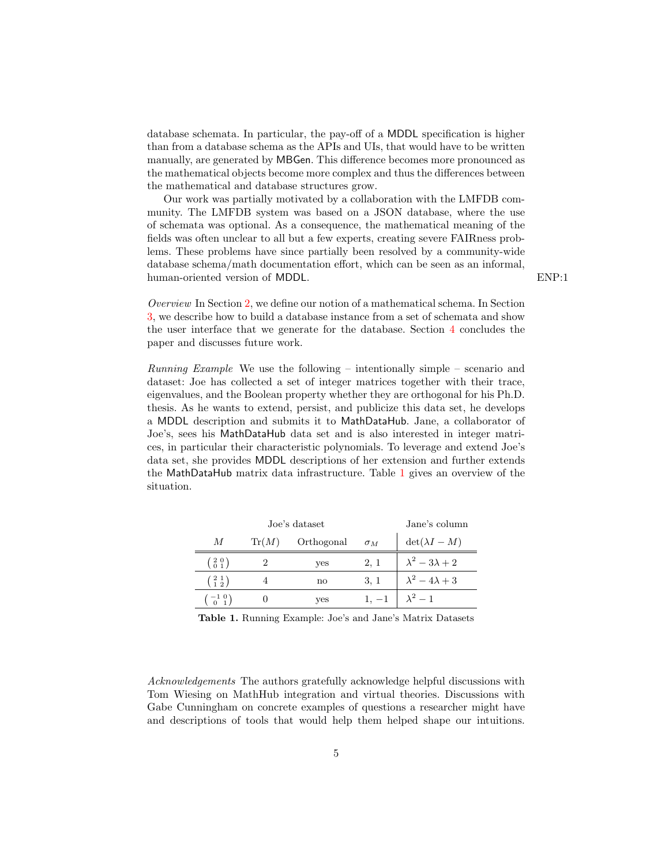database schemata. In particular, the pay-off of a MDDL specification is higher than from a database schema as the APIs and UIs, that would have to be written manually, are generated by MBGen. This difference becomes more pronounced as the mathematical objects become more complex and thus the differences between the mathematical and database structures grow.

Our work was partially motivated by a collaboration with the LMFDB community. The LMFDB system was based on a JSON database, where the use of schemata was optional. As a consequence, the mathematical meaning of the fields was often unclear to all but a few experts, creating severe FAIRness problems. These problems have since partially been resolved by a community-wide database schema/math documentation effort, which can be seen as an informal, human-oriented version of MDDL. ENP:1

Overview In Section [2,](#page-5-0) we define our notion of a mathematical schema. In Section [3,](#page-10-0) we describe how to build a database instance from a set of schemata and show the user interface that we generate for the database. Section [4](#page-12-0) concludes the paper and discusses future work.

*Running Example* We use the following – intentionally simple – scenario and dataset: Joe has collected a set of integer matrices together with their trace, eigenvalues, and the Boolean property whether they are orthogonal for his Ph.D. thesis. As he wants to extend, persist, and publicize this data set, he develops a MDDL description and submits it to MathDataHub. Jane, a collaborator of Joe's, sees his MathDataHub data set and is also interested in integer matrices, in particular their characteristic polynomials. To leverage and extend Joe's data set, she provides MDDL descriptions of her extension and further extends the MathDataHub matrix data infrastructure. Table [1](#page-4-0) gives an overview of the situation.

| Joe's dataset                                                       |                |                          |         | Jane's column          |
|---------------------------------------------------------------------|----------------|--------------------------|---------|------------------------|
| М                                                                   | $\text{Tr}(M)$ | Orthogonal<br>$\sigma_M$ |         | $\det(\lambda I - M)$  |
| $\left(\begin{smallmatrix} 2 & 0 \\ 0 & 1 \end{smallmatrix}\right)$ |                | yes                      | 2, 1    | $\lambda^2-3\lambda+2$ |
| $\left(\begin{smallmatrix} 2 & 1 \\ 1 & 2 \end{smallmatrix}\right)$ | 4              | no                       | 3, 1    | $\lambda^2-4\lambda+3$ |
| $\begin{pmatrix} -1 & 0 \\ 0 & 1 \end{pmatrix}$                     | O              | yes                      | $1, -1$ | $\lambda^2-1$          |

<span id="page-4-0"></span>Table 1. Running Example: Joe's and Jane's Matrix Datasets

Acknowledgements The authors gratefully acknowledge helpful discussions with Tom Wiesing on MathHub integration and virtual theories. Discussions with Gabe Cunningham on concrete examples of questions a researcher might have and descriptions of tools that would help them helped shape our intuitions.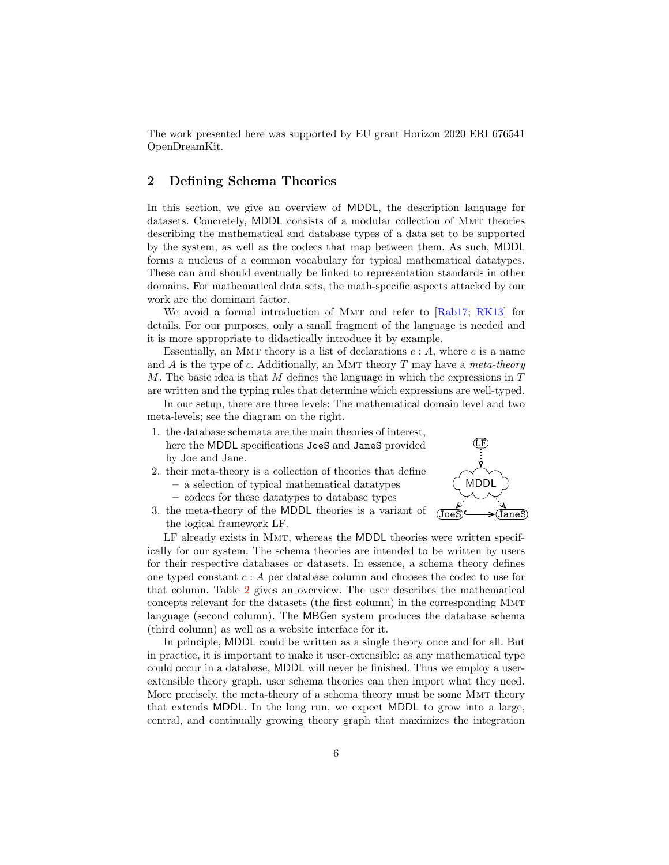The work presented here was supported by EU grant Horizon 2020 ERI 676541 OpenDreamKit.

# <span id="page-5-0"></span>2 Defining Schema Theories

In this section, we give an overview of MDDL, the description language for datasets. Concretely, MDDL consists of a modular collection of Mmt theories describing the mathematical and database types of a data set to be supported by the system, as well as the codecs that map between them. As such, MDDL forms a nucleus of a common vocabulary for typical mathematical datatypes. These can and should eventually be linked to representation standards in other domains. For mathematical data sets, the math-specific aspects attacked by our work are the dominant factor.

We avoid a formal introduction of MMT and refer to [\[Rab17;](#page-15-6) [RK13\]](#page-15-7) for details. For our purposes, only a small fragment of the language is needed and it is more appropriate to didactically introduce it by example.

Essentially, an MMT theory is a list of declarations  $c : A$ , where c is a name and  $A$  is the type of c. Additionally, an MMT theory  $T$  may have a meta-theory M. The basic idea is that M defines the language in which the expressions in  $T$ are written and the typing rules that determine which expressions are well-typed.

In our setup, there are three levels: The mathematical domain level and two meta-levels; see the diagram on the right.

- 1. the database schemata are the main theories of interest, here the MDDL specifications JoeS and JaneS provided by Joe and Jane.
- 2. their meta-theory is a collection of theories that define
	- a selection of typical mathematical datatypes
	- codecs for these datatypes to database types
- 3. the meta-theory of the MDDL theories is a variant of the logical framework LF.

MDDL  $(JoeS) \longrightarrow (JaneS)$ 

LF

LF already exists in Mmt, whereas the MDDL theories were written specifically for our system. The schema theories are intended to be written by users for their respective databases or datasets. In essence, a schema theory defines one typed constant  $c : A$  per database column and chooses the codec to use for that column. Table [2](#page-6-0) gives an overview. The user describes the mathematical concepts relevant for the datasets (the first column) in the corresponding Mmt language (second column). The MBGen system produces the database schema (third column) as well as a website interface for it.

In principle, MDDL could be written as a single theory once and for all. But in practice, it is important to make it user-extensible: as any mathematical type could occur in a database, MDDL will never be finished. Thus we employ a userextensible theory graph, user schema theories can then import what they need. More precisely, the meta-theory of a schema theory must be some Mmt theory that extends MDDL. In the long run, we expect MDDL to grow into a large, central, and continually growing theory graph that maximizes the integration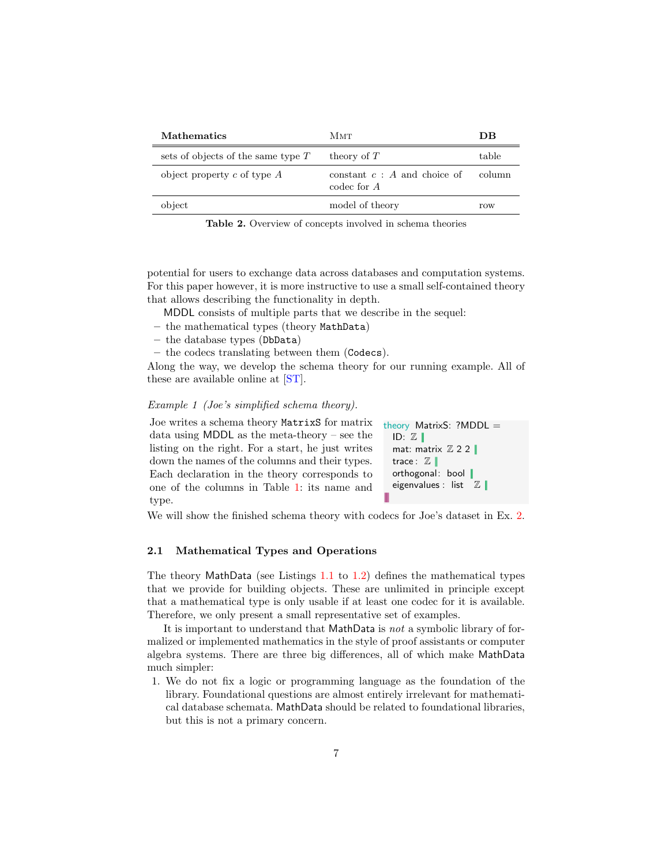| <b>Mathematics</b>                   | Ммт                                             | DВ     |
|--------------------------------------|-------------------------------------------------|--------|
| sets of objects of the same type $T$ | theory of $T$                                   | table  |
| object property c of type $A$        | constant $c : A$ and choice of<br>codec for $A$ | column |
| object                               | model of theory                                 | row    |

<span id="page-6-0"></span>Table 2. Overview of concepts involved in schema theories

potential for users to exchange data across databases and computation systems. For this paper however, it is more instructive to use a small self-contained theory that allows describing the functionality in depth.

MDDL consists of multiple parts that we describe in the sequel:

- the mathematical types (theory MathData)
- the database types (DbData)
- the codecs translating between them (Codecs).

Along the way, we develop the schema theory for our running example. All of these are available online at [\[ST\]](#page-15-8).

## <span id="page-6-1"></span>Example 1 (Joe's simplified schema theory).

Joe writes a schema theory MatrixS for matrix data using MDDL as the meta-theory – see the listing on the right. For a start, he just writes down the names of the columns and their types. Each declaration in the theory corresponds to one of the columns in Table [1:](#page-4-0) its name and type.

```
theory MatrixS: ?MDDL =
  ID: \mathbb{Z}mat: matrix \mathbb{Z} 2 2 ||
  trace: \mathbb{Z} |
  orthogonal: bool ||
  eigenvalues : list \mathbb{Z}||||
```
We will show the finished schema theory with codecs for Joe's dataset in Ex. [2.](#page-9-0)

## 2.1 Mathematical Types and Operations

The theory MathData (see Listings [1.1](#page-7-0) to [1.2\)](#page-7-1) defines the mathematical types that we provide for building objects. These are unlimited in principle except that a mathematical type is only usable if at least one codec for it is available. Therefore, we only present a small representative set of examples.

It is important to understand that MathData is not a symbolic library of formalized or implemented mathematics in the style of proof assistants or computer algebra systems. There are three big differences, all of which make MathData much simpler:

1. We do not fix a logic or programming language as the foundation of the library. Foundational questions are almost entirely irrelevant for mathematical database schemata. MathData should be related to foundational libraries, but this is not a primary concern.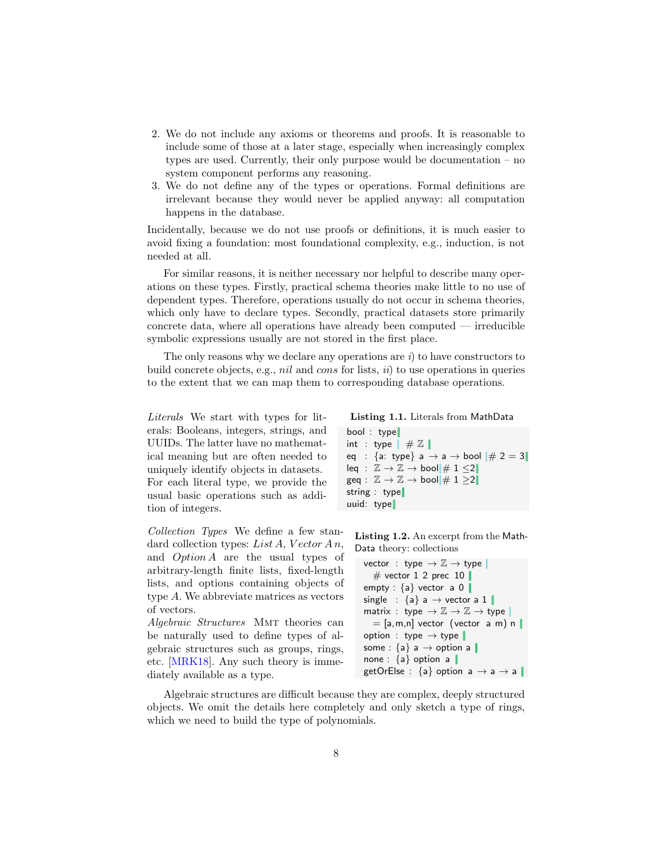- 2. We do not include any axioms or theorems and proofs. It is reasonable to include some of those at a later stage, especially when increasingly complex types are used. Currently, their only purpose would be documentation – no system component performs any reasoning.
- 3. We do not define any of the types or operations. Formal definitions are irrelevant because they would never be applied anyway: all computation happens in the database.

Incidentally, because we do not use proofs or definitions, it is much easier to avoid fixing a foundation: most foundational complexity, e.g., induction, is not needed at all.

For similar reasons, it is neither necessary nor helpful to describe many operations on these types. Firstly, practical schema theories make little to no use of dependent types. Therefore, operations usually do not occur in schema theories, which only have to declare types. Secondly, practical datasets store primarily concrete data, where all operations have already been computed — irreducible symbolic expressions usually are not stored in the first place.

The only reasons why we declare any operations are  $i$ ) to have constructors to build concrete objects, e.g.,  $nil$  and cons for lists,  $ii)$  to use operations in queries to the extent that we can map them to corresponding database operations.

Literals We start with types for literals: Booleans, integers, strings, and UUIDs. The latter have no mathematical meaning but are often needed to uniquely identify objects in datasets. For each literal type, we provide the usual basic operations such as addition of integers.

Collection Types We define a few standard collection types: List A, Vector  $An$ , and Option A are the usual types of arbitrary-length finite lists, fixed-length lists, and options containing objects of type A. We abbreviate matrices as vectors of vectors.

Algebraic Structures MMT theories can be naturally used to define types of algebraic structures such as groups, rings, etc. [\[MRK18\]](#page-15-9). Any such theory is immediately available as a type.

<span id="page-7-0"></span>Listing 1.1. Literals from MathData

```
bool: type
int : type | # Z |eq : {a: type} a \rightarrow a \rightarrow bool |# 2 = 3|
\text{leg} : \mathbb{Z} \to \mathbb{Z} \to \text{bool} \# 1 \leq2
geq : \mathbb{Z} \to \mathbb{Z} \to \text{bool} \# 1 \geq 2string : type
uuid: type||
```
<span id="page-7-1"></span>Listing 1.2. An excerpt from the Math-Data theory: collections

```
vector : type \rightarrow \mathbb{Z} \rightarrow type |
   # vector 1 2 prec 10
empty : {a} vector a 0
single : {a} \nightharpoonup vector a 1
matrix : type \rightarrow \mathbb{Z} \rightarrow \mathbb{Z} \rightarrow type
   =[a,m,n] vector (vector a m) n
option : type \rightarrow type
some : {a} \nightharpoonup a \rightarrow option a
none : \{a\} option a
getOrElse : {a} option a \rightarrow a \rightarrow a
```
Algebraic structures are difficult because they are complex, deeply structured objects. We omit the details here completely and only sketch a type of rings, which we need to build the type of polynomials.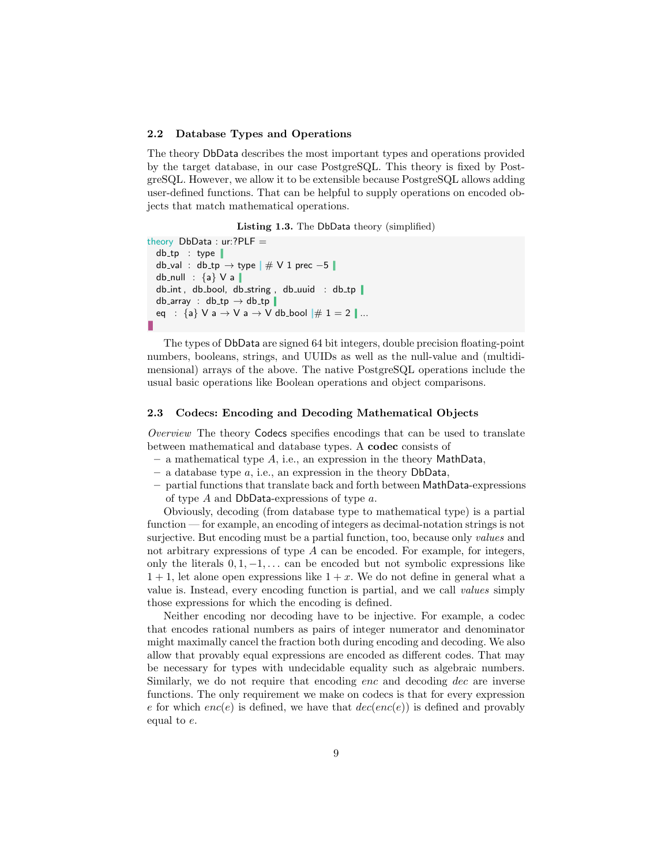#### 2.2 Database Types and Operations

The theory DbData describes the most important types and operations provided by the target database, in our case PostgreSQL. This theory is fixed by PostgreSQL. However, we allow it to be extensible because PostgreSQL allows adding user-defined functions. That can be helpful to supply operations on encoded objects that match mathematical operations.

Listing 1.3. The DbData theory (simplified)

```
theory DbData: ur:?PLF =db_-tp : type
  db_val : db_tp \rightarrow type | \# V 1 prec -5 ||
  db_null : {a} \vee adb int, db_bool, db_string, db_uuid : db_tp ||
  db_array : db_tp \rightarrow db_tp ||
  eq : {a} \cup {a} \cup {b} > V a \rightarrow V db_bool # 1 = 2 ||...
||||
```
The types of DbData are signed 64 bit integers, double precision floating-point numbers, booleans, strings, and UUIDs as well as the null-value and (multidimensional) arrays of the above. The native PostgreSQL operations include the usual basic operations like Boolean operations and object comparisons.

#### 2.3 Codecs: Encoding and Decoding Mathematical Objects

Overview The theory Codecs specifies encodings that can be used to translate between mathematical and database types. A codec consists of

- $-$  a mathematical type  $A$ , i.e., an expression in the theory MathData,
- $-$  a database type  $a$ , i.e., an expression in the theory DbData,
- partial functions that translate back and forth between MathData-expressions of type  $A$  and DbData-expressions of type  $a$ .

Obviously, decoding (from database type to mathematical type) is a partial function — for example, an encoding of integers as decimal-notation strings is not surjective. But encoding must be a partial function, too, because only *values* and not arbitrary expressions of type  $A$  can be encoded. For example, for integers, only the literals  $0, 1, -1, \ldots$  can be encoded but not symbolic expressions like  $1 + 1$ , let alone open expressions like  $1 + x$ . We do not define in general what a value is. Instead, every encoding function is partial, and we call values simply those expressions for which the encoding is defined.

Neither encoding nor decoding have to be injective. For example, a codec that encodes rational numbers as pairs of integer numerator and denominator might maximally cancel the fraction both during encoding and decoding. We also allow that provably equal expressions are encoded as different codes. That may be necessary for types with undecidable equality such as algebraic numbers. Similarly, we do not require that encoding enc and decoding dec are inverse functions. The only requirement we make on codecs is that for every expression e for which  $enc(e)$  is defined, we have that  $dec(enc(e))$  is defined and provably equal to e.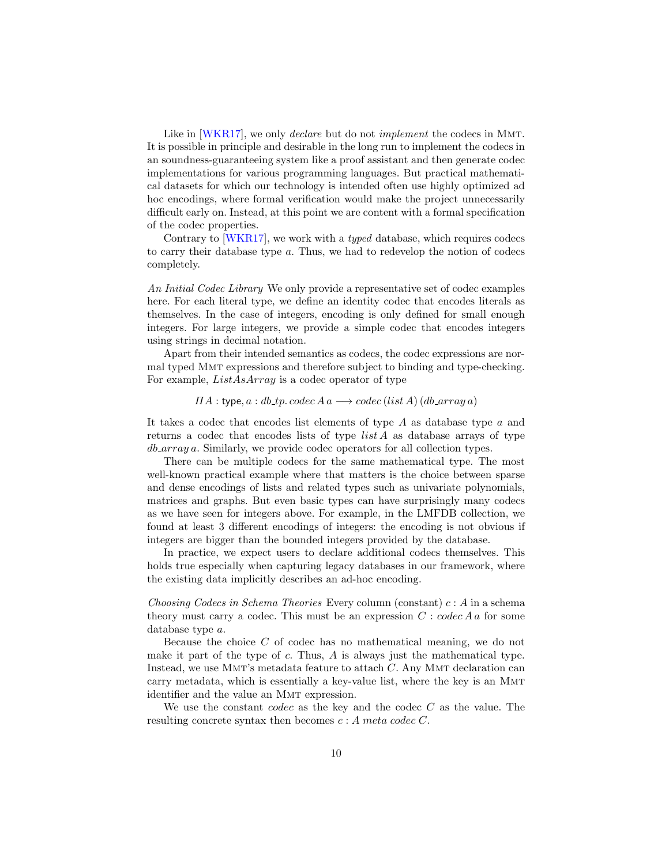Like in [\[WKR17\]](#page-15-5), we only *declare* but do not *implement* the codecs in MMT. It is possible in principle and desirable in the long run to implement the codecs in an soundness-guaranteeing system like a proof assistant and then generate codec implementations for various programming languages. But practical mathematical datasets for which our technology is intended often use highly optimized ad hoc encodings, where formal verification would make the project unnecessarily difficult early on. Instead, at this point we are content with a formal specification of the codec properties.

Contrary to [\[WKR17\]](#page-15-5), we work with a typed database, which requires codecs to carry their database type a. Thus, we had to redevelop the notion of codecs completely.

An Initial Codec Library We only provide a representative set of codec examples here. For each literal type, we define an identity codec that encodes literals as themselves. In the case of integers, encoding is only defined for small enough integers. For large integers, we provide a simple codec that encodes integers using strings in decimal notation.

Apart from their intended semantics as codecs, the codec expressions are normal typed Mmt expressions and therefore subject to binding and type-checking. For example, *ListAsArray* is a codec operator of type

## $\Pi A$ : type,  $a : db\_tp$ . codec  $A a \longrightarrow codec (list A) (db\_array a)$

It takes a codec that encodes list elements of type  $A$  as database type  $a$  and returns a codec that encodes lists of type  $listA$  as database arrays of type db array a. Similarly, we provide codec operators for all collection types.

There can be multiple codecs for the same mathematical type. The most well-known practical example where that matters is the choice between sparse and dense encodings of lists and related types such as univariate polynomials, matrices and graphs. But even basic types can have surprisingly many codecs as we have seen for integers above. For example, in the LMFDB collection, we found at least 3 different encodings of integers: the encoding is not obvious if integers are bigger than the bounded integers provided by the database.

In practice, we expect users to declare additional codecs themselves. This holds true especially when capturing legacy databases in our framework, where the existing data implicitly describes an ad-hoc encoding.

Choosing Codecs in Schema Theories Every column (constant)  $c : A$  in a schema theory must carry a codec. This must be an expression  $C: \text{codec} A a$  for some database type a.

Because the choice C of codec has no mathematical meaning, we do not make it part of the type of c. Thus, A is always just the mathematical type. Instead, we use Mmt's metadata feature to attach C. Any Mmt declaration can carry metadata, which is essentially a key-value list, where the key is an Mmt identifier and the value an MMT expression.

<span id="page-9-0"></span>We use the constant  $codec$  as the key and the codec  $C$  as the value. The resulting concrete syntax then becomes  $c : A$  meta codec  $C$ .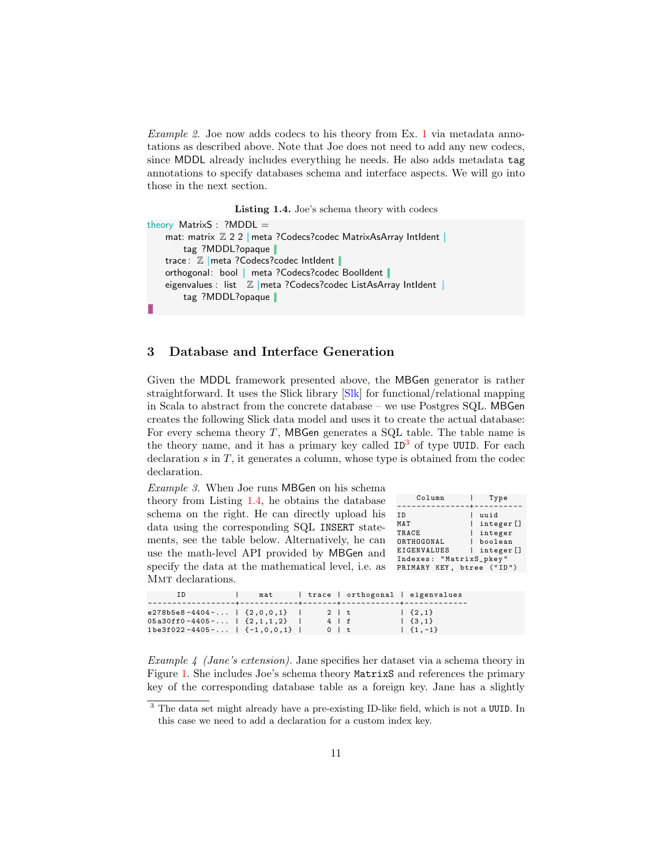Example 2. Joe now adds codecs to his theory from Ex. [1](#page-6-1) via metadata annotations as described above. Note that Joe does not need to add any new codecs, since MDDL already includes everything he needs. He also adds metadata tag annotations to specify databases schema and interface aspects. We will go into those in the next section.

Listing 1.4. Joe's schema theory with codecs

```
theory MatrixS : ?MDDL =mat: matrix \mathbb Z 2 2 | meta ?Codecs?codec MatrixAsArray IntIdent |
        tag ?MDDL?opaque ||
    trace : Z | meta ? Codecs? codec Intldent |
    orthogonal: bool | meta ?Codecs?codec BoolIdent ||
    eigenvalues : list \mathbb Z | meta ? Codecs? codec ListAsArray Intident |
        tag ?MDDL?opaque ||
||||
```
# <span id="page-10-0"></span>3 Database and Interface Generation

Given the MDDL framework presented above, the MBGen generator is rather straightforward. It uses the Slick library [\[Slk\]](#page-15-10) for functional/relational mapping in Scala to abstract from the concrete database – we use Postgres SQL. MBGen creates the following Slick data model and uses it to create the actual database: For every schema theory  $T$ , MBGen generates a SQL table. The table name is the theory name, and it has a primary key called  $ID<sup>3</sup>$  $ID<sup>3</sup>$  $ID<sup>3</sup>$  of type UUID. For each declaration  $s$  in  $T$ , it generates a column, whose type is obtained from the codec declaration.

Example 3. When Joe runs MBGen on his schema theory from Listing [1.4,](#page-10-2) he obtains the database schema on the right. He can directly upload his data using the corresponding SQL INSERT statements, see the table below. Alternatively, he can use the math-level API provided by MBGen and specify the data at the mathematical level, i.e. as MMT declarations.

| Column                    | Type       |
|---------------------------|------------|
|                           |            |
| T D                       | uuid       |
| MAT                       | integer [] |
| TRACE                     | integer    |
| ORTHOGONAL                | boolean    |
| <b>EIGENVALUES</b>        | integer [] |
| Indexes: "MatrixS_pkey"   |            |
| PRIMARY KEY, btree ("ID") |            |
|                           |            |
|                           |            |
|                           |            |

| ID.                                                                                                                            | mat |            |                    | trace   orthogonal   eigenvalues                                                    |
|--------------------------------------------------------------------------------------------------------------------------------|-----|------------|--------------------|-------------------------------------------------------------------------------------|
| e278b5e8-4404-   $\{2,0,0,1\}$<br>$05a30ff0-4405-.$ $\{2,1,1,2\}$<br>$1 \text{be} 3 \text{f} 022 - 4405 - \ldots$   {-1,0,0,1} |     | $4 \mid f$ | $2 + t$<br>$0$   t | $\{2,1\}$<br>$\begin{array}{cc} 1 & 3 & .1 \end{array}$<br>$\left  \right $ {1, -1} |

Example 4 (Jane's extension). Jane specifies her dataset via a schema theory in Figure [1.](#page-11-0) She includes Joe's schema theory MatrixS and references the primary key of the corresponding database table as a foreign key. Jane has a slightly

<span id="page-10-1"></span><sup>&</sup>lt;sup>3</sup> The data set might already have a pre-existing ID-like field, which is not a UUID. In this case we need to add a declaration for a custom index key.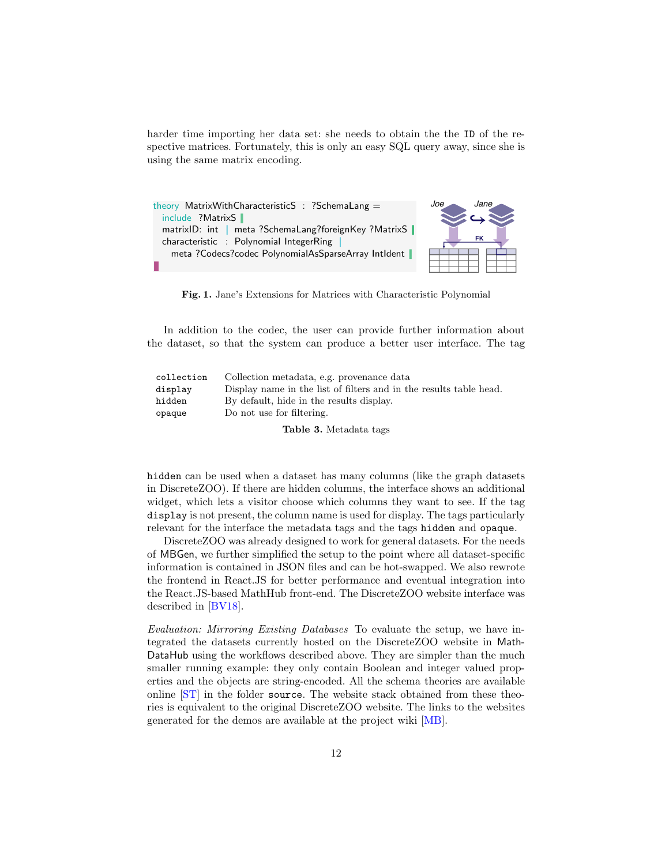harder time importing her data set: she needs to obtain the the ID of the respective matrices. Fortunately, this is only an easy SQL query away, since she is using the same matrix encoding.



Fig. 1. Jane's Extensions for Matrices with Characteristic Polynomial

<span id="page-11-0"></span>In addition to the codec, the user can provide further information about the dataset, so that the system can produce a better user interface. The tag

| collection                    | Collection metadata, e.g. provenance data                          |  |  |  |
|-------------------------------|--------------------------------------------------------------------|--|--|--|
| display                       | Display name in the list of filters and in the results table head. |  |  |  |
| hidden                        | By default, hide in the results display.                           |  |  |  |
| opaque                        | Do not use for filtering.                                          |  |  |  |
| <b>Table 3.</b> Metadata tags |                                                                    |  |  |  |

hidden can be used when a dataset has many columns (like the graph datasets in DiscreteZOO). If there are hidden columns, the interface shows an additional widget, which lets a visitor choose which columns they want to see. If the tag display is not present, the column name is used for display. The tags particularly relevant for the interface the metadata tags and the tags hidden and opaque.

DiscreteZOO was already designed to work for general datasets. For the needs of MBGen, we further simplified the setup to the point where all dataset-specific information is contained in JSON files and can be hot-swapped. We also rewrote the frontend in React.JS for better performance and eventual integration into the React.JS-based MathHub front-end. The DiscreteZOO website interface was described in [\[BV18\]](#page-14-7).

Evaluation: Mirroring Existing Databases To evaluate the setup, we have integrated the datasets currently hosted on the DiscreteZOO website in Math-DataHub using the workflows described above. They are simpler than the much smaller running example: they only contain Boolean and integer valued properties and the objects are string-encoded. All the schema theories are available online [\[ST\]](#page-15-8) in the folder source. The website stack obtained from these theories is equivalent to the original DiscreteZOO website. The links to the websites generated for the demos are available at the project wiki [\[MB\]](#page-15-4).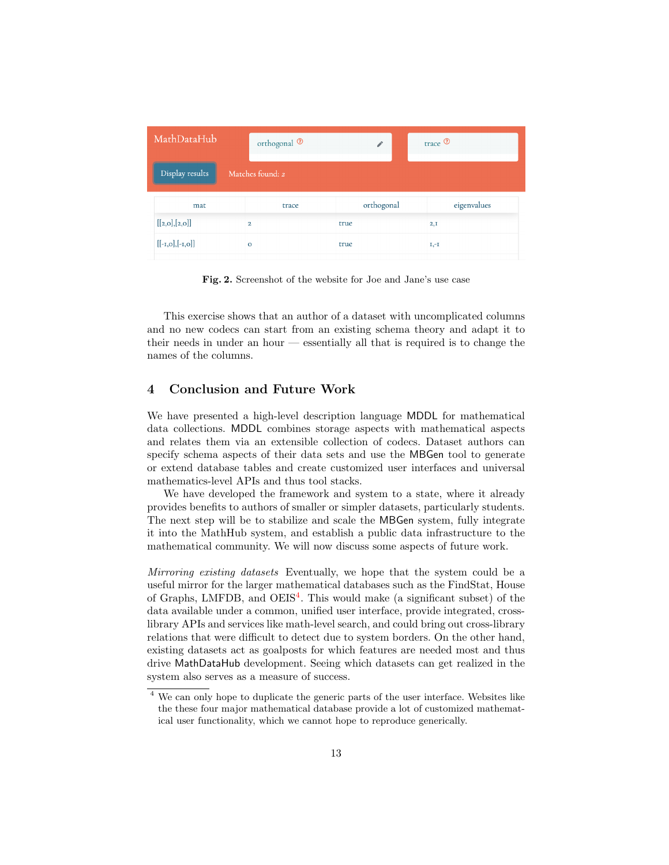| MathDataHub                         | orthogonal <sup>®</sup> | ♪          | trace <sup>7</sup> |  |
|-------------------------------------|-------------------------|------------|--------------------|--|
| Display results<br>Matches found: 2 |                         |            |                    |  |
| mat                                 | trace                   | orthogonal | eigenvalues        |  |
| $[[2,0],[2,0]]$                     | $\overline{\mathbf{2}}$ | true       | 2,I                |  |
| $[[-1,0],[-1,0]]$                   | $\circ$                 | true       | $I, -I$            |  |

Fig. 2. Screenshot of the website for Joe and Jane's use case

This exercise shows that an author of a dataset with uncomplicated columns and no new codecs can start from an existing schema theory and adapt it to their needs in under an hour — essentially all that is required is to change the names of the columns.

# <span id="page-12-0"></span>4 Conclusion and Future Work

We have presented a high-level description language MDDL for mathematical data collections. MDDL combines storage aspects with mathematical aspects and relates them via an extensible collection of codecs. Dataset authors can specify schema aspects of their data sets and use the MBGen tool to generate or extend database tables and create customized user interfaces and universal mathematics-level APIs and thus tool stacks.

We have developed the framework and system to a state, where it already provides benefits to authors of smaller or simpler datasets, particularly students. The next step will be to stabilize and scale the MBGen system, fully integrate it into the MathHub system, and establish a public data infrastructure to the mathematical community. We will now discuss some aspects of future work.

Mirroring existing datasets Eventually, we hope that the system could be a useful mirror for the larger mathematical databases such as the FindStat, House of Graphs, LMFDB, and  $OEIS<sup>4</sup>$  $OEIS<sup>4</sup>$  $OEIS<sup>4</sup>$ . This would make (a significant subset) of the data available under a common, unified user interface, provide integrated, crosslibrary APIs and services like math-level search, and could bring out cross-library relations that were difficult to detect due to system borders. On the other hand, existing datasets act as goalposts for which features are needed most and thus drive MathDataHub development. Seeing which datasets can get realized in the system also serves as a measure of success.

<span id="page-12-1"></span><sup>4</sup> We can only hope to duplicate the generic parts of the user interface. Websites like the these four major mathematical database provide a lot of customized mathematical user functionality, which we cannot hope to reproduce generically.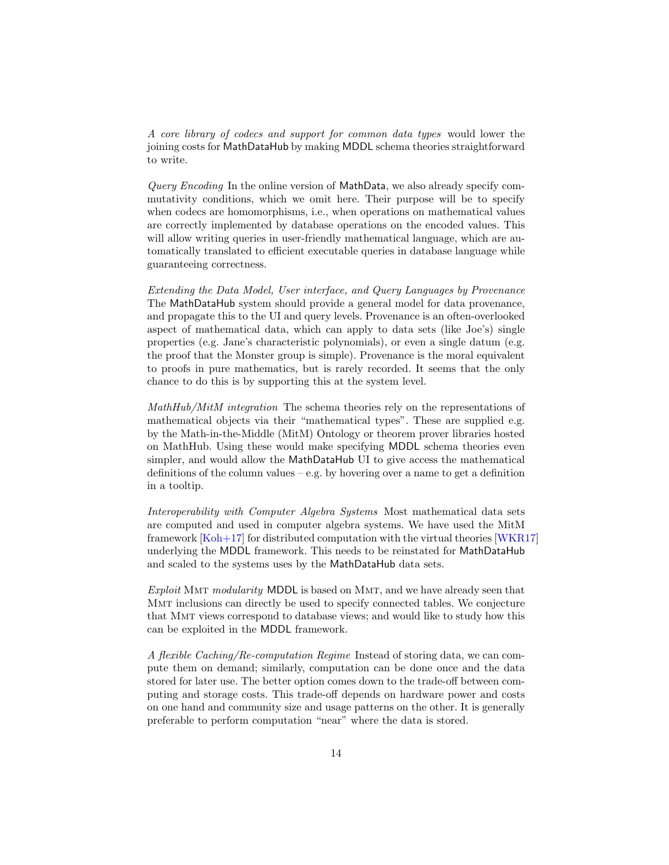A core library of codecs and support for common data types would lower the joining costs for MathDataHub by making MDDL schema theories straightforward to write.

Query Encoding In the online version of MathData, we also already specify commutativity conditions, which we omit here. Their purpose will be to specify when codecs are homomorphisms, i.e., when operations on mathematical values are correctly implemented by database operations on the encoded values. This will allow writing queries in user-friendly mathematical language, which are automatically translated to efficient executable queries in database language while guaranteeing correctness.

Extending the Data Model, User interface, and Query Languages by Provenance The MathDataHub system should provide a general model for data provenance, and propagate this to the UI and query levels. Provenance is an often-overlooked aspect of mathematical data, which can apply to data sets (like Joe's) single properties (e.g. Jane's characteristic polynomials), or even a single datum (e.g. the proof that the Monster group is simple). Provenance is the moral equivalent to proofs in pure mathematics, but is rarely recorded. It seems that the only chance to do this is by supporting this at the system level.

MathHub/MitM integration The schema theories rely on the representations of mathematical objects via their "mathematical types". These are supplied e.g. by the Math-in-the-Middle (MitM) Ontology or theorem prover libraries hosted on MathHub. Using these would make specifying MDDL schema theories even simpler, and would allow the MathDataHub UI to give access the mathematical definitions of the column values  $-e.g.$  by hovering over a name to get a definition in a tooltip.

Interoperability with Computer Algebra Systems Most mathematical data sets are computed and used in computer algebra systems. We have used the MitM framework [\[Koh+17\]](#page-14-8) for distributed computation with the virtual theories [\[WKR17\]](#page-15-5) underlying the MDDL framework. This needs to be reinstated for MathDataHub and scaled to the systems uses by the MathDataHub data sets.

Exploit Mmt modularity MDDL is based on Mmt, and we have already seen that Mmt inclusions can directly be used to specify connected tables. We conjecture that Mmt views correspond to database views; and would like to study how this can be exploited in the MDDL framework.

A flexible Caching/Re-computation Regime Instead of storing data, we can compute them on demand; similarly, computation can be done once and the data stored for later use. The better option comes down to the trade-off between computing and storage costs. This trade-off depends on hardware power and costs on one hand and community size and usage patterns on the other. It is generally preferable to perform computation "near" where the data is stored.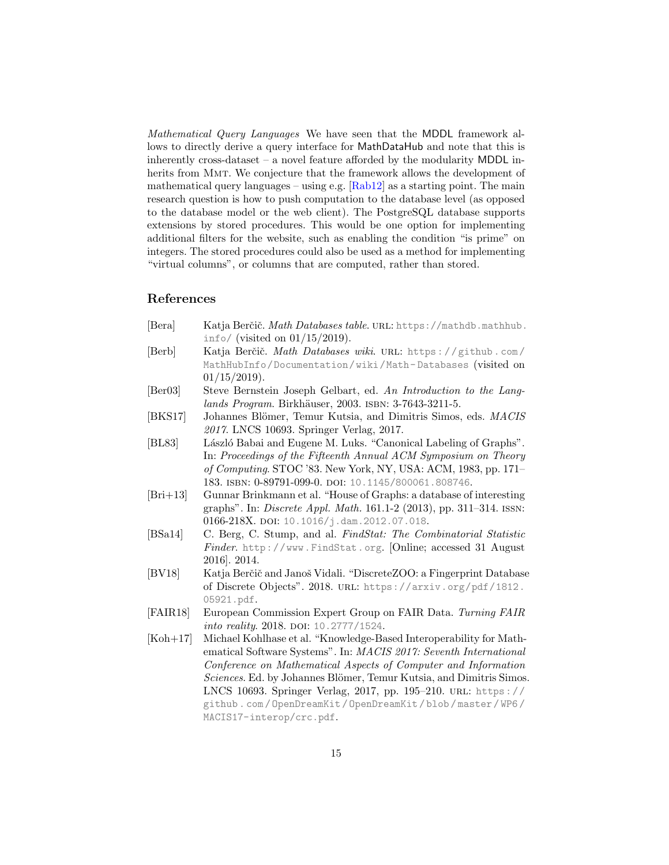Mathematical Query Languages We have seen that the MDDL framework allows to directly derive a query interface for MathDataHub and note that this is inherently cross-dataset – a novel feature afforded by the modularity  $MDDL$  inherits from Mmt. We conjecture that the framework allows the development of mathematical query languages – using e.g.  $[Rab12]$  as a starting point. The main research question is how to push computation to the database level (as opposed to the database model or the web client). The PostgreSQL database supports extensions by stored procedures. This would be one option for implementing additional filters for the website, such as enabling the condition "is prime" on integers. The stored procedures could also be used as a method for implementing "virtual columns", or columns that are computed, rather than stored.

## References

- <span id="page-14-2"></span>[Bera] Katja Berčič. *Math Databases table.* URL: [https://mathdb.mathhub.](https://mathdb.mathhub.info/) [info/](https://mathdb.mathhub.info/) (visited on 01/15/2019).
- <span id="page-14-3"></span>[Berb] Katja Berčič. *Math Databases wiki*. URL: https://github.com/ [MathHubInfo/Documentation/wiki/Math- Databases](https://github.com/MathHubInfo/Documentation/wiki/Math-Databases) (visited on  $01/15/2019$ ).
- <span id="page-14-5"></span>[Ber03] Steve Bernstein Joseph Gelbart, ed. An Introduction to the Langlands Program. Birkhäuser, 2003. ISBN: 3-7643-3211-5.
- [BKS17] Johannes Blömer, Temur Kutsia, and Dimitris Simos, eds. MACIS 2017. LNCS 10693. Springer Verlag, 2017.
- <span id="page-14-0"></span>[BL83] László Babai and Eugene M. Luks. "Canonical Labeling of Graphs". In: Proceedings of the Fifteenth Annual ACM Symposium on Theory of Computing. STOC '83. New York, NY, USA: ACM, 1983, pp. 171– 183. isbn: 0-89791-099-0. doi: [10.1145/800061.808746](https://doi.org/10.1145/800061.808746).
- <span id="page-14-1"></span>[Bri+13] Gunnar Brinkmann et al. "House of Graphs: a database of interesting graphs". In: Discrete Appl. Math. 161.1-2 (2013), pp. 311–314. issn: 0166-218X. DOI: [10.1016/j.dam.2012.07.018](https://doi.org/10.1016/j.dam.2012.07.018).
- <span id="page-14-4"></span>[BSa14] C. Berg, C. Stump, and al. FindStat: The Combinatorial Statistic Finder. <http://www.FindStat.org>. [Online; accessed 31 August 2016]. 2014.
- <span id="page-14-7"></span>[BV18] Katja Berčič and Janoš Vidali. "DiscreteZOO: a Fingerprint Database of Discrete Objects". 2018. url: [https://arxiv.org/pdf/1812.](https://arxiv.org/pdf/1812.05921.pdf) [05921.pdf](https://arxiv.org/pdf/1812.05921.pdf).
- <span id="page-14-6"></span>[FAIR18] European Commission Expert Group on FAIR Data. Turning FAIR into reality. 2018. DOI: [10.2777/1524](https://doi.org/10.2777/1524).
- <span id="page-14-8"></span>[Koh+17] Michael Kohlhase et al. "Knowledge-Based Interoperability for Mathematical Software Systems". In: MACIS 2017: Seventh International Conference on Mathematical Aspects of Computer and Information Sciences. Ed. by Johannes Blömer, Temur Kutsia, and Dimitris Simos. LNCS 10693. Springer Verlag, 2017, pp. 195–210. url: [https://](https://github.com/OpenDreamKit/OpenDreamKit/blob/master/WP6/MACIS17-interop/crc.pdf) [github . com / OpenDreamKit / OpenDreamKit / blob / master / WP6 /](https://github.com/OpenDreamKit/OpenDreamKit/blob/master/WP6/MACIS17-interop/crc.pdf) [MACIS17-interop/crc.pdf](https://github.com/OpenDreamKit/OpenDreamKit/blob/master/WP6/MACIS17-interop/crc.pdf).